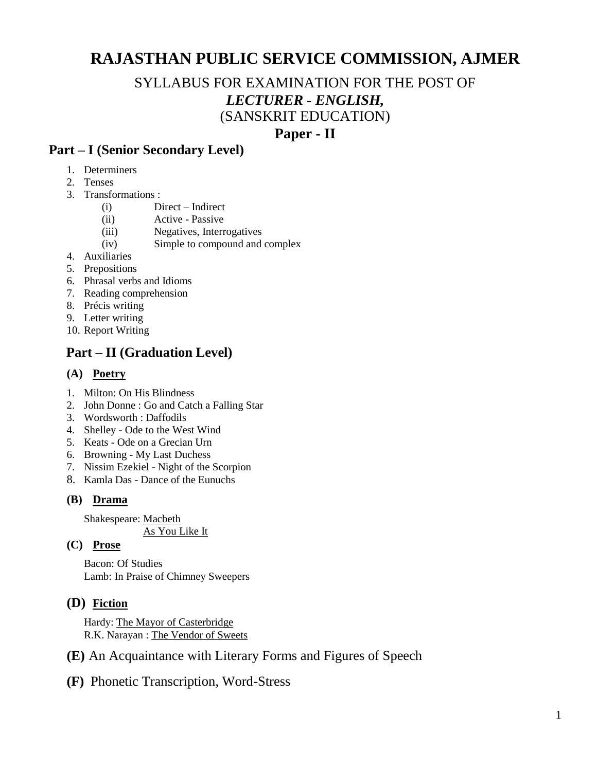# **RAJASTHAN PUBLIC SERVICE COMMISSION, AJMER**

# SYLLABUS FOR EXAMINATION FOR THE POST OF *LECTURER - ENGLISH,* (SANSKRIT EDUCATION)

# **Paper - II**

## **Part – I (Senior Secondary Level)**

- 1. Determiners
- 2. Tenses
- 3. Transformations :
	- (i) Direct Indirect
	- (ii) Active Passive
	- (iii) Negatives, Interrogatives
	- (iv) Simple to compound and complex
- 4. Auxiliaries
- 5. Prepositions
- 6. Phrasal verbs and Idioms
- 7. Reading comprehension
- 8. Précis writing
- 9. Letter writing
- 10. Report Writing

# **Part – II (Graduation Level)**

#### **(A) Poetry**

- 1. Milton: On His Blindness
- 2. John Donne : Go and Catch a Falling Star
- 3. Wordsworth : Daffodils
- 4. Shelley Ode to the West Wind
- 5. Keats Ode on a Grecian Urn
- 6. Browning My Last Duchess
- 7. Nissim Ezekiel Night of the Scorpion
- 8. Kamla Das Dance of the Eunuchs

#### **(B) Drama**

Shakespeare: Macbeth

As You Like It

#### **(C) Prose**

Bacon: Of Studies Lamb: In Praise of Chimney Sweepers

### **(D) Fiction**

Hardy: The Mayor of Casterbridge R.K. Narayan : The Vendor of Sweets

- **(E)** An Acquaintance with Literary Forms and Figures of Speech
- **(F)** Phonetic Transcription, Word-Stress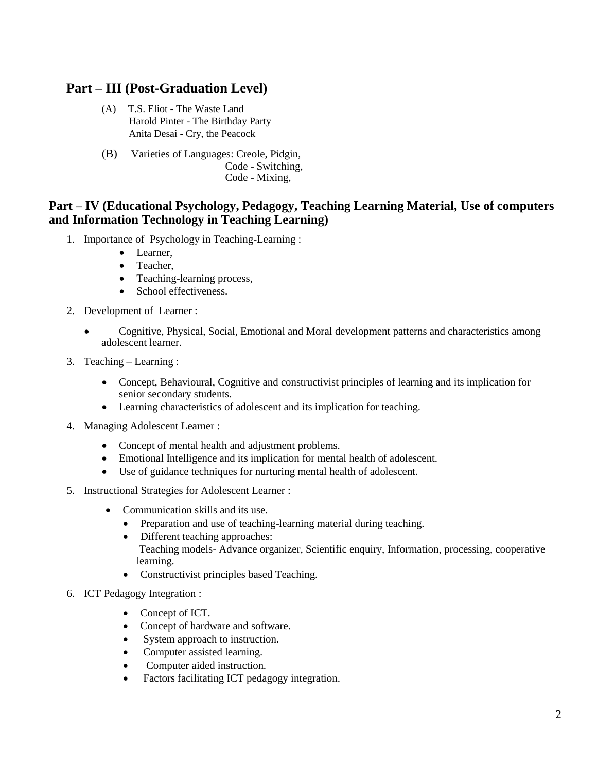## **Part – III (Post-Graduation Level)**

- (A) T.S. Eliot The Waste Land Harold Pinter - The Birthday Party Anita Desai - Cry, the Peacock
- (B) Varieties of Languages: Creole, Pidgin, Code - Switching, Code - Mixing,

### **Part – IV (Educational Psychology, Pedagogy, Teaching Learning Material, Use of computers and Information Technology in Teaching Learning)**

- 1. Importance of Psychology in Teaching-Learning :
	- Learner,
	- Teacher,
	- Teaching-learning process,
	- School effectiveness.
- 2. Development of Learner :
	- Cognitive, Physical, Social, Emotional and Moral development patterns and characteristics among adolescent learner.
- 3. Teaching Learning :
	- Concept, Behavioural, Cognitive and constructivist principles of learning and its implication for senior secondary students.
	- Learning characteristics of adolescent and its implication for teaching.
- 4. Managing Adolescent Learner :
	- Concept of mental health and adjustment problems.
	- Emotional Intelligence and its implication for mental health of adolescent.
	- Use of guidance techniques for nurturing mental health of adolescent.
- 5. Instructional Strategies for Adolescent Learner :
	- Communication skills and its use.
		- Preparation and use of teaching-learning material during teaching.
		- Different teaching approaches: Teaching models- Advance organizer, Scientific enquiry, Information, processing, cooperative learning.
		- Constructivist principles based Teaching.
- 6. ICT Pedagogy Integration :
	- Concept of ICT.
	- Concept of hardware and software.
	- System approach to instruction.
	- Computer assisted learning.
	- Computer aided instruction.
	- Factors facilitating ICT pedagogy integration.